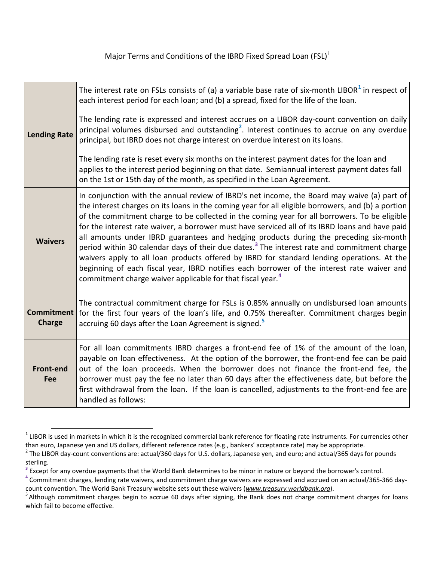Major Terms and Cond[i](#page-5-0)tions of the IBRD Fixed Spread Loan (FSL)<sup>i</sup>

| <b>Lending Rate</b>                | The interest rate on FSLs consists of (a) a variable base rate of six-month LIBOR $1$ in respect of<br>each interest period for each loan; and (b) a spread, fixed for the life of the loan.<br>The lending rate is expressed and interest accrues on a LIBOR day-count convention on daily<br>principal volumes disbursed and outstanding <sup>2</sup> . Interest continues to accrue on any overdue<br>principal, but IBRD does not charge interest on overdue interest on its loans.<br>The lending rate is reset every six months on the interest payment dates for the loan and<br>applies to the interest period beginning on that date. Semiannual interest payment dates fall<br>on the 1st or 15th day of the month, as specified in the Loan Agreement.                                                                                                               |  |
|------------------------------------|---------------------------------------------------------------------------------------------------------------------------------------------------------------------------------------------------------------------------------------------------------------------------------------------------------------------------------------------------------------------------------------------------------------------------------------------------------------------------------------------------------------------------------------------------------------------------------------------------------------------------------------------------------------------------------------------------------------------------------------------------------------------------------------------------------------------------------------------------------------------------------|--|
| <b>Waivers</b>                     | In conjunction with the annual review of IBRD's net income, the Board may waive (a) part of<br>the interest charges on its loans in the coming year for all eligible borrowers, and (b) a portion<br>of the commitment charge to be collected in the coming year for all borrowers. To be eligible<br>for the interest rate waiver, a borrower must have serviced all of its IBRD loans and have paid<br>all amounts under IBRD guarantees and hedging products during the preceding six-month<br>period within 30 calendar days of their due dates. <sup>3</sup> The interest rate and commitment charge<br>waivers apply to all loan products offered by IBRD for standard lending operations. At the<br>beginning of each fiscal year, IBRD notifies each borrower of the interest rate waiver and<br>commitment charge waiver applicable for that fiscal year. <sup>4</sup> |  |
| <b>Commitment</b><br><b>Charge</b> | The contractual commitment charge for FSLs is 0.85% annually on undisbursed loan amounts<br>for the first four years of the loan's life, and 0.75% thereafter. Commitment charges begin<br>accruing 60 days after the Loan Agreement is signed. <sup>5</sup>                                                                                                                                                                                                                                                                                                                                                                                                                                                                                                                                                                                                                    |  |
| <b>Front-end</b><br>Fee            | For all loan commitments IBRD charges a front-end fee of 1% of the amount of the loan,<br>payable on loan effectiveness. At the option of the borrower, the front-end fee can be paid<br>out of the loan proceeds. When the borrower does not finance the front-end fee, the<br>borrower must pay the fee no later than 60 days after the effectiveness date, but before the<br>first withdrawal from the loan. If the loan is cancelled, adjustments to the front-end fee are<br>handled as follows:                                                                                                                                                                                                                                                                                                                                                                           |  |

<span id="page-0-0"></span> $1$  LIBOR is used in markets in which it is the recognized commercial bank reference for floating rate instruments. For currencies other than euro, Japanese yen and US dollars, different reference rates (e.g., bankers' acceptance rate) may be appropriate.

<span id="page-0-1"></span> $2$  The LIBOR day-count conventions are: actual/360 days for U.S. dollars, Japanese yen, and euro; and actual/365 days for pounds sterling.<br><sup>3</sup> Except for any overdue payments that the World Bank determines to be minor in nature or beyond the borrower's control.

<span id="page-0-2"></span>

<span id="page-0-3"></span><sup>&</sup>lt;sup>4</sup> Commitment charges, lending rate waivers, and commitment charge waivers are expressed and accrued on an actual/365-366 daycount convention. The World Bank Treasury website sets out these waivers (*www.treasury.worldbank.org*). <sup>5</sup>

<span id="page-0-4"></span><sup>&</sup>lt;sup>5</sup> Although commitment charges begin to accrue 60 days after signing, the Bank does not charge commitment charges for loans which fail to become effective.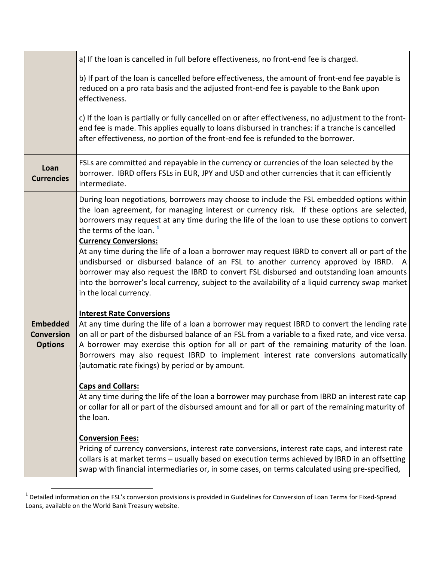|                                                        | a) If the loan is cancelled in full before effectiveness, no front-end fee is charged.                                                                                                                                                                                                                                                                                                                                                                                                                                                                                                                                                                                                                                                                                    |
|--------------------------------------------------------|---------------------------------------------------------------------------------------------------------------------------------------------------------------------------------------------------------------------------------------------------------------------------------------------------------------------------------------------------------------------------------------------------------------------------------------------------------------------------------------------------------------------------------------------------------------------------------------------------------------------------------------------------------------------------------------------------------------------------------------------------------------------------|
|                                                        | b) If part of the loan is cancelled before effectiveness, the amount of front-end fee payable is<br>reduced on a pro rata basis and the adjusted front-end fee is payable to the Bank upon<br>effectiveness.                                                                                                                                                                                                                                                                                                                                                                                                                                                                                                                                                              |
|                                                        | c) If the loan is partially or fully cancelled on or after effectiveness, no adjustment to the front-<br>end fee is made. This applies equally to loans disbursed in tranches: if a tranche is cancelled<br>after effectiveness, no portion of the front-end fee is refunded to the borrower.                                                                                                                                                                                                                                                                                                                                                                                                                                                                             |
| Loan<br><b>Currencies</b>                              | FSLs are committed and repayable in the currency or currencies of the loan selected by the<br>borrower. IBRD offers FSLs in EUR, JPY and USD and other currencies that it can efficiently<br>intermediate.                                                                                                                                                                                                                                                                                                                                                                                                                                                                                                                                                                |
|                                                        | During loan negotiations, borrowers may choose to include the FSL embedded options within<br>the loan agreement, for managing interest or currency risk. If these options are selected,<br>borrowers may request at any time during the life of the loan to use these options to convert<br>the terms of the loan. $1$<br><b>Currency Conversions:</b><br>At any time during the life of a loan a borrower may request IBRD to convert all or part of the<br>undisbursed or disbursed balance of an FSL to another currency approved by IBRD. A<br>borrower may also request the IBRD to convert FSL disbursed and outstanding loan amounts<br>into the borrower's local currency, subject to the availability of a liquid currency swap market<br>in the local currency. |
| <b>Embedded</b><br><b>Conversion</b><br><b>Options</b> | <b>Interest Rate Conversions</b><br>At any time during the life of a loan a borrower may request IBRD to convert the lending rate<br>on all or part of the disbursed balance of an FSL from a variable to a fixed rate, and vice versa.<br>A borrower may exercise this option for all or part of the remaining maturity of the loan.<br>Borrowers may also request IBRD to implement interest rate conversions automatically<br>(automatic rate fixings) by period or by amount.<br><b>Caps and Collars:</b><br>At any time during the life of the loan a borrower may purchase from IBRD an interest rate cap<br>or collar for all or part of the disbursed amount and for all or part of the remaining maturity of<br>the loan.                                        |
|                                                        | <b>Conversion Fees:</b><br>Pricing of currency conversions, interest rate conversions, interest rate caps, and interest rate<br>collars is at market terms - usually based on execution terms achieved by IBRD in an offsetting<br>swap with financial intermediaries or, in some cases, on terms calculated using pre-specified,                                                                                                                                                                                                                                                                                                                                                                                                                                         |

<span id="page-1-0"></span><sup>1</sup> Detailed information on the FSL's conversion provisions is provided in Guidelines for Conversion of Loan Terms for Fixed-Spread<br><sup>1</sup> Detailed information on the FSL's conversion provisions is provided in Guidelines for Co Loans, available on the World Bank Treasury website.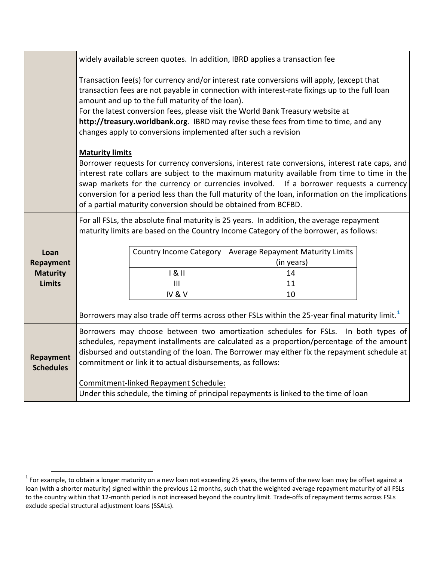|                               | widely available screen quotes. In addition, IBRD applies a transaction fee                                                                                                                                                                                                                                                                                                                                                                                                                 |                         |                                                 |  |  |
|-------------------------------|---------------------------------------------------------------------------------------------------------------------------------------------------------------------------------------------------------------------------------------------------------------------------------------------------------------------------------------------------------------------------------------------------------------------------------------------------------------------------------------------|-------------------------|-------------------------------------------------|--|--|
|                               | Transaction fee(s) for currency and/or interest rate conversions will apply, (except that<br>transaction fees are not payable in connection with interest-rate fixings up to the full loan<br>amount and up to the full maturity of the loan).<br>For the latest conversion fees, please visit the World Bank Treasury website at<br>http://treasury.worldbank.org. IBRD may revise these fees from time to time, and any<br>changes apply to conversions implemented after such a revision |                         |                                                 |  |  |
|                               | <b>Maturity limits</b><br>Borrower requests for currency conversions, interest rate conversions, interest rate caps, and<br>interest rate collars are subject to the maximum maturity available from time to time in the<br>swap markets for the currency or currencies involved. If a borrower requests a currency<br>conversion for a period less than the full maturity of the loan, information on the implications<br>of a partial maturity conversion should be obtained from BCFBD.  |                         |                                                 |  |  |
|                               | For all FSLs, the absolute final maturity is 25 years. In addition, the average repayment<br>maturity limits are based on the Country Income Category of the borrower, as follows:                                                                                                                                                                                                                                                                                                          |                         |                                                 |  |  |
| Loan<br><b>Repayment</b>      |                                                                                                                                                                                                                                                                                                                                                                                                                                                                                             | Country Income Category | Average Repayment Maturity Limits<br>(in years) |  |  |
| <b>Maturity</b>               |                                                                                                                                                                                                                                                                                                                                                                                                                                                                                             | 181                     | 14                                              |  |  |
| <b>Limits</b>                 |                                                                                                                                                                                                                                                                                                                                                                                                                                                                                             | $\mathbf{III}$          | 11                                              |  |  |
|                               |                                                                                                                                                                                                                                                                                                                                                                                                                                                                                             | IV&V                    | 10                                              |  |  |
|                               | Borrowers may also trade off terms across other FSLs within the 25-year final maturity limit. <sup>1</sup>                                                                                                                                                                                                                                                                                                                                                                                  |                         |                                                 |  |  |
| Repayment<br><b>Schedules</b> | Borrowers may choose between two amortization schedules for FSLs. In both types of<br>schedules, repayment installments are calculated as a proportion/percentage of the amount<br>disbursed and outstanding of the loan. The Borrower may either fix the repayment schedule at<br>commitment or link it to actual disbursements, as follows:                                                                                                                                               |                         |                                                 |  |  |
|                               | Commitment-linked Repayment Schedule:                                                                                                                                                                                                                                                                                                                                                                                                                                                       |                         |                                                 |  |  |
|                               | Under this schedule, the timing of principal repayments is linked to the time of loan                                                                                                                                                                                                                                                                                                                                                                                                       |                         |                                                 |  |  |

<span id="page-2-0"></span> $1$  For example, to obtain a longer maturity on a new loan not exceeding 25 years, the terms of the new loan may be offset against a loan (with a shorter maturity) signed within the previous 12 months, such that the weighted average repayment maturity of all FSLs to the country within that 12-month period is not increased beyond the country limit. Trade-offs of repayment terms across FSLs exclude special structural adjustment loans (SSALs).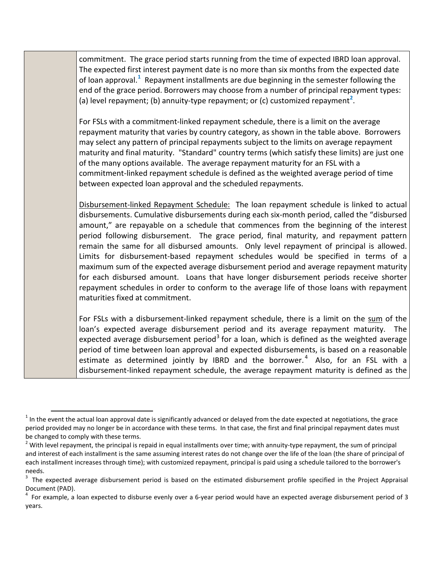commitment. The grace period starts running from the time of expected IBRD loan approval. The expected first interest payment date is no more than six months from the expected date of loan approval.<sup>[1](#page-3-0)</sup> Repayment installments are due beginning in the semester following the end of the grace period. Borrowers may choose from a number of principal repayment types: (a) level repayment; (b) annuity-type repayment; or (c) customized repayment<sup>[2](#page-3-1)</sup>.

For FSLs with a commitment-linked repayment schedule, there is a limit on the average repayment maturity that varies by country category, as shown in the table above. Borrowers may select any pattern of principal repayments subject to the limits on average repayment maturity and final maturity. "Standard" country terms (which satisfy these limits) are just one of the many options available. The average repayment maturity for an FSL with a commitment-linked repayment schedule is defined as the weighted average period of time between expected loan approval and the scheduled repayments.

Disbursement-linked Repayment Schedule: The loan repayment schedule is linked to actual disbursements. Cumulative disbursements during each six-month period, called the "disbursed amount," are repayable on a schedule that commences from the beginning of the interest period following disbursement. The grace period, final maturity, and repayment pattern remain the same for all disbursed amounts. Only level repayment of principal is allowed. Limits for disbursement-based repayment schedules would be specified in terms of a maximum sum of the expected average disbursement period and average repayment maturity for each disbursed amount. Loans that have longer disbursement periods receive shorter repayment schedules in order to conform to the average life of those loans with repayment maturities fixed at commitment.

For FSLs with a disbursement-linked repayment schedule, there is a limit on the sum of the loan's expected average disbursement period and its average repayment maturity. The expected average disbursement period<sup>[3](#page-3-2)</sup> for a loan, which is defined as the weighted average period of time between loan approval and expected disbursements, is based on a reasonable estimate as determined jointly by IBRD and the borrower.<sup>[4](#page-3-3)</sup> Also, for an FSL with a disbursement-linked repayment schedule, the average repayment maturity is defined as the

<span id="page-3-0"></span> $<sup>1</sup>$  In the event the actual loan approval date is significantly advanced or delayed from the date expected at negotiations, the grace</sup> period provided may no longer be in accordance with these terms. In that case, the first and final principal repayment dates must be changed to comply with these terms.

<span id="page-3-1"></span><sup>&</sup>lt;sup>2</sup> With level repayment, the principal is repaid in equal installments over time; with annuity-type repayment, the sum of principal and interest of each installment is the same assuming interest rates do not change over the life of the loan (the share of principal of each installment increases through time); with customized repayment, principal is paid using a schedule tailored to the borrower's needs.

<span id="page-3-2"></span><sup>3</sup> The expected average disbursement period is based on the estimated disbursement profile specified in the Project Appraisal Document (PAD). 4

<span id="page-3-3"></span> $4\,$  For example, a loan expected to disburse evenly over a 6-year period would have an expected average disbursement period of 3 years.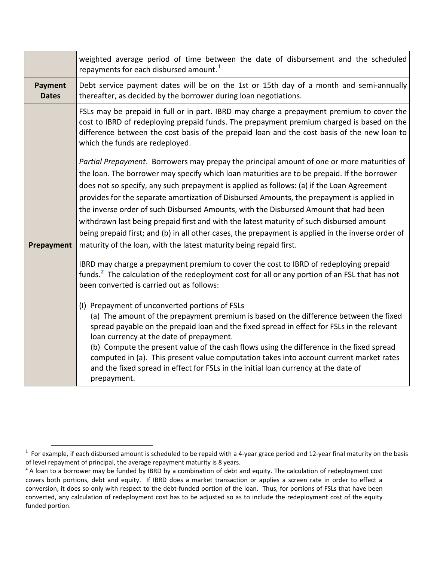|                                | weighted average period of time between the date of disbursement and the scheduled<br>repayments for each disbursed amount. <sup>1</sup>                                                                                                                                                                                                                                                                                                                                                                                                                                                                                                                                                                                                                                                                                                                                                                                                                                                                                                                                                                                                                                                                                                                                                                                                                                                                                                                                                                                                                                                  |  |  |  |
|--------------------------------|-------------------------------------------------------------------------------------------------------------------------------------------------------------------------------------------------------------------------------------------------------------------------------------------------------------------------------------------------------------------------------------------------------------------------------------------------------------------------------------------------------------------------------------------------------------------------------------------------------------------------------------------------------------------------------------------------------------------------------------------------------------------------------------------------------------------------------------------------------------------------------------------------------------------------------------------------------------------------------------------------------------------------------------------------------------------------------------------------------------------------------------------------------------------------------------------------------------------------------------------------------------------------------------------------------------------------------------------------------------------------------------------------------------------------------------------------------------------------------------------------------------------------------------------------------------------------------------------|--|--|--|
| <b>Payment</b><br><b>Dates</b> | Debt service payment dates will be on the 1st or 15th day of a month and semi-annually<br>thereafter, as decided by the borrower during loan negotiations.                                                                                                                                                                                                                                                                                                                                                                                                                                                                                                                                                                                                                                                                                                                                                                                                                                                                                                                                                                                                                                                                                                                                                                                                                                                                                                                                                                                                                                |  |  |  |
|                                | FSLs may be prepaid in full or in part. IBRD may charge a prepayment premium to cover the<br>cost to IBRD of redeploying prepaid funds. The prepayment premium charged is based on the<br>difference between the cost basis of the prepaid loan and the cost basis of the new loan to<br>which the funds are redeployed.                                                                                                                                                                                                                                                                                                                                                                                                                                                                                                                                                                                                                                                                                                                                                                                                                                                                                                                                                                                                                                                                                                                                                                                                                                                                  |  |  |  |
| Prepayment                     | Partial Prepayment. Borrowers may prepay the principal amount of one or more maturities of<br>the loan. The borrower may specify which loan maturities are to be prepaid. If the borrower<br>does not so specify, any such prepayment is applied as follows: (a) if the Loan Agreement<br>provides for the separate amortization of Disbursed Amounts, the prepayment is applied in<br>the inverse order of such Disbursed Amounts, with the Disbursed Amount that had been<br>withdrawn last being prepaid first and with the latest maturity of such disbursed amount<br>being prepaid first; and (b) in all other cases, the prepayment is applied in the inverse order of<br>maturity of the loan, with the latest maturity being repaid first.<br>IBRD may charge a prepayment premium to cover the cost to IBRD of redeploying prepaid<br>funds. <sup>2</sup> The calculation of the redeployment cost for all or any portion of an FSL that has not<br>been converted is carried out as follows:<br>(I) Prepayment of unconverted portions of FSLs<br>(a) The amount of the prepayment premium is based on the difference between the fixed<br>spread payable on the prepaid loan and the fixed spread in effect for FSLs in the relevant<br>loan currency at the date of prepayment.<br>(b) Compute the present value of the cash flows using the difference in the fixed spread<br>computed in (a). This present value computation takes into account current market rates<br>and the fixed spread in effect for FSLs in the initial loan currency at the date of<br>prepayment. |  |  |  |

<span id="page-4-0"></span>**EXALLET 2018**<br><sup>1</sup> For example, if each disbursed amount is scheduled to be repaid with a 4-year grace period and 12-year final maturity on the basis of level repayment of principal, the average repayment maturity is 8 years.

<span id="page-4-1"></span> $2$  A loan to a borrower may be funded by IBRD by a combination of debt and equity. The calculation of redeployment cost covers both portions, debt and equity. If IBRD does a market transaction or applies a screen rate in order to effect a conversion, it does so only with respect to the debt-funded portion of the loan. Thus, for portions of FSLs that have been converted, any calculation of redeployment cost has to be adjusted so as to include the redeployment cost of the equity funded portion.